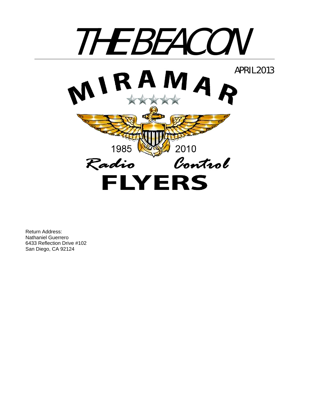

Return Address: Nathaniel Guerrero 6433 Reflection Drive #102 San Diego, CA 92124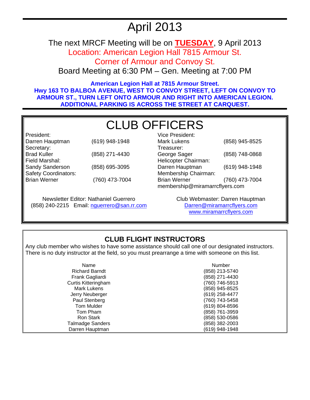# April 2013

The next MRCF Meeting will be on **TUESDAY**, 9 April 2013 Location: American Legion Hall 7815 Armour St.

Corner of Armour and Convoy St.

Board Meeting at 6:30 PM – Gen. Meeting at 7:00 PM

**American Legion Hall at 7815 Armour Street. Hwy 163 TO BALBOA AVENUE, WEST TO CONVOY STREET, LEFT ON CONVOY TO ARMOUR ST., TURN LEFT ONTO ARMOUR AND RIGHT INTO AMERICAN LEGION. ADDITIONAL PARKING IS ACROSS THE STREET AT CARQUEST.** 

# CLUB OFFICERS

President: Darren Hauptman (619) 948-1948 Secretary:<br>Brad Kuller (858) 271-4430 Field Marshal: Sandy Sanderson (858) 695-3095 Safety Coordinators: Brian Werner (760) 473-7004

Newsletter Editor: Nathaniel Guerrero (858) 240-2215 Email: nguerrero@san.rr.com

| Vice President:                |                |  |
|--------------------------------|----------------|--|
| <b>Mark Lukens</b>             | (858) 945-8525 |  |
| Treasurer:                     |                |  |
| George Sager                   | (858) 748-0868 |  |
| Helicopter Chairman:           |                |  |
| Darren Hauptman                | (619) 948-1948 |  |
| Membership Chairman:           |                |  |
| <b>Brian Werner</b>            | (760) 473-7004 |  |
| membership@miramarrcflyers.com |                |  |

Club Webmaster: Darren Hauptman Darren@miramarrcflyers.com www.miramarrcflyers.com

# **CLUB FLIGHT INSTRUCTORS**

Any club member who wishes to have some assistance should call one of our designated instructors. There is no duty instructor at the field, so you must prearrange a time with someone on this list.

| Name                       | Number         |
|----------------------------|----------------|
| <b>Richard Barndt</b>      | (858) 213-5740 |
| Frank Gagliardi            | (858) 271-4430 |
| <b>Curtis Kitteringham</b> | (760) 746-5913 |
| Mark Lukens                | (858) 945-8525 |
| Jerry Neuberger            | (619) 258-4477 |
| Paul Stenberg              | (760) 743-5458 |
| Tom Mulder                 | (619) 804-8596 |
| Tom Pham                   | (858) 761-3959 |
| Ron Stark                  | (858) 530-0586 |
| <b>Talmadge Sanders</b>    | (858) 382-2003 |
| Darren Hauptman            | (619) 948-1948 |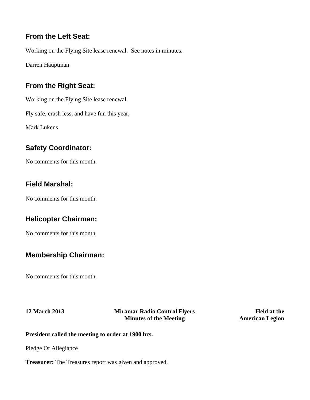## **From the Left Seat:**

Working on the Flying Site lease renewal. See notes in minutes.

Darren Hauptman

# **From the Right Seat:**

Working on the Flying Site lease renewal.

Fly safe, crash less, and have fun this year,

Mark Lukens

# **Safety Coordinator:**

No comments for this month.

## **Field Marshal:**

No comments for this month.

# **Helicopter Chairman:**

No comments for this month.

# **Membership Chairman:**

No comments for this month.

## **12 March 2013 Miramar Radio Control Flyers Minutes of the Meeting**

**Held at the American Legion**

## **President called the meeting to order at 1900 hrs.**

Pledge Of Allegiance

**Treasurer:** The Treasures report was given and approved.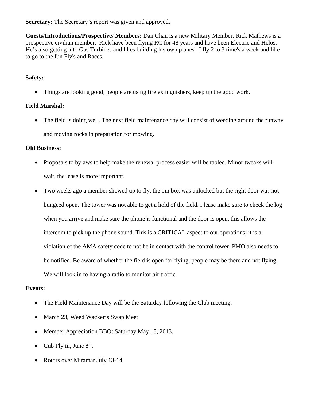**Secretary:** The Secretary's report was given and approved.

**Guests/Introductions/Prospective/ Members:** Dan Chan is a new Military Member. Rick Mathews is a prospective civilian member. Rick have been flying RC for 48 years and have been Electric and Helos. He's also getting into Gas Turbines and likes building his own planes. I fly 2 to 3 time's a week and like to go to the fun Fly's and Races.

## **Safety:**

• Things are looking good, people are using fire extinguishers, keep up the good work.

## **Field Marshal:**

• The field is doing well. The next field maintenance day will consist of weeding around the runway and moving rocks in preparation for mowing.

## **Old Business:**

- Proposals to bylaws to help make the renewal process easier will be tabled. Minor tweaks will wait, the lease is more important.
- Two weeks ago a member showed up to fly, the pin box was unlocked but the right door was not bungeed open. The tower was not able to get a hold of the field. Please make sure to check the log when you arrive and make sure the phone is functional and the door is open, this allows the intercom to pick up the phone sound. This is a CRITICAL aspect to our operations; it is a violation of the AMA safety code to not be in contact with the control tower. PMO also needs to be notified. Be aware of whether the field is open for flying, people may be there and not flying. We will look in to having a radio to monitor air traffic.

## **Events:**

- The Field Maintenance Day will be the Saturday following the Club meeting.
- March 23, Weed Wacker's Swap Meet
- Member Appreciation BBO: Saturday May 18, 2013.
- Cub Fly in, June  $8<sup>th</sup>$ .
- Rotors over Miramar July 13-14.